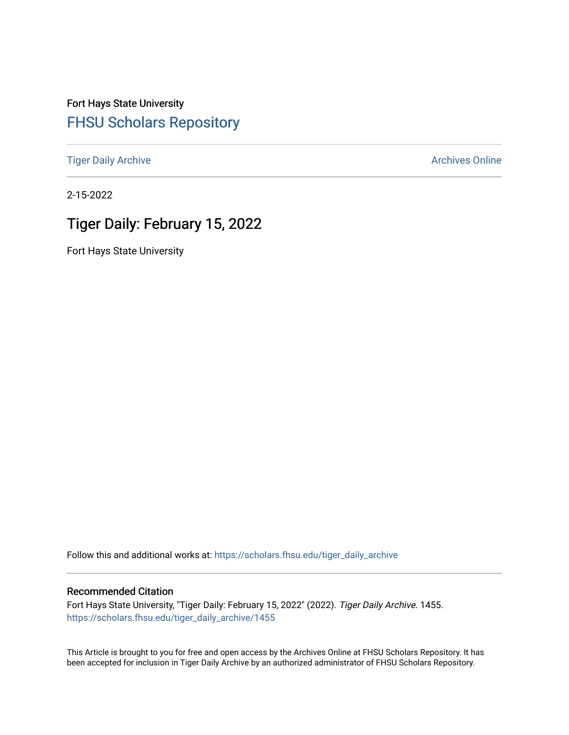Fort Hays State University [FHSU Scholars Repository](https://scholars.fhsu.edu/) 

[Tiger Daily Archive](https://scholars.fhsu.edu/tiger_daily_archive) **Archives** Online Archives Online

2-15-2022

# Tiger Daily: February 15, 2022

Fort Hays State University

Follow this and additional works at: [https://scholars.fhsu.edu/tiger\\_daily\\_archive](https://scholars.fhsu.edu/tiger_daily_archive?utm_source=scholars.fhsu.edu%2Ftiger_daily_archive%2F1455&utm_medium=PDF&utm_campaign=PDFCoverPages)

### Recommended Citation

Fort Hays State University, "Tiger Daily: February 15, 2022" (2022). Tiger Daily Archive. 1455. [https://scholars.fhsu.edu/tiger\\_daily\\_archive/1455](https://scholars.fhsu.edu/tiger_daily_archive/1455?utm_source=scholars.fhsu.edu%2Ftiger_daily_archive%2F1455&utm_medium=PDF&utm_campaign=PDFCoverPages)

This Article is brought to you for free and open access by the Archives Online at FHSU Scholars Repository. It has been accepted for inclusion in Tiger Daily Archive by an authorized administrator of FHSU Scholars Repository.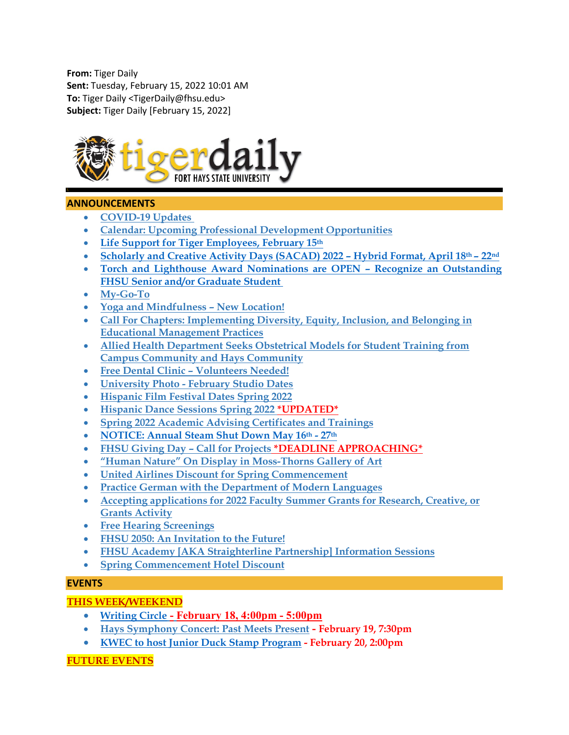**From:** Tiger Daily **Sent:** Tuesday, February 15, 2022 10:01 AM **To:** Tiger Daily <TigerDaily@fhsu.edu> **Subject:** Tiger Daily [February 15, 2022]



### **ANNOUNCEMENTS**

- **[COVID-19 Updates](#page-2-0)**
- **[Calendar: Upcoming Professional Development Opportunities](#page-3-0)**
- **[Life Support for Tiger Employees, February 15th](#page-3-1)**
- **[Scholarly and Creative Activity Days \(SACAD\) 2022 –](#page-3-2) Hybrid Format, April 18th – 22nd**
- **[Torch and Lighthouse Award Nominations are OPEN –](#page-3-3) Recognize an Outstanding [FHSU Senior and/or Graduate Student](#page-3-3)**
- **[My-Go-To](#page-3-4)**
- **[Yoga and Mindfulness –](#page-4-0) New Location!**
- **[Call For Chapters: Implementing Diversity, Equity, Inclusion, and Belonging in](#page-4-1)  [Educational Management Practices](#page-4-1)**
- **[Allied Health Department Seeks Obstetrical Models for Student Training from](#page-4-2)  [Campus Community and Hays Community](#page-4-2)**
- **Free Dental Clinic – [Volunteers Needed!](#page-4-3)**
- **University Photo - [February Studio Dates](#page-5-0)**
- **[Hispanic Film Festival Dates Spring 2022](#page-5-1)**
- **[Hispanic Dance Sessions Spring 2022](#page-5-2) \*UPDATED\***
- **[Spring 2022 Academic Advising Certificates and Trainings](#page-6-0)**
- **[NOTICE: Annual Steam Shut Down May 16th](#page-7-0) - 27th**
- **[FHSU Giving Day –](#page-8-0) Call for Projects \*DEADLINE APPROACHING\***
- **["Human Nature" On Display in Moss-Thorns Gallery of Art](#page-9-0)**
- **[United Airlines Discount for Spring Commencement](#page-9-1)**
- **[Practice German with the Department of Modern Languages](#page-9-2)**
- **[Accepting applications for 2022 Faculty Summer Grants for Research, Creative, or](#page-9-3)  [Grants Activity](#page-9-3)**
- **[Free Hearing Screenings](#page-10-0)**
- **[FHSU 2050: An Invitation to the Future!](#page-10-1)**
- **[FHSU Academy \[AKA Straighterline Partnership\] Information Sessions](#page-11-0)**
- **[Spring Commencement Hotel Discount](#page-11-1)**

### **EVENTS**

# **THIS WEEK/WEEKEND**

- **[Writing Circle](#page-11-2) - February 18, 4:00pm - 5:00pm**
- **[Hays Symphony Concert: Past Meets Present](#page-11-3) - February 19, 7:30pm**
- **[KWEC to host Junior Duck Stamp Program](#page-12-0) - February 20, 2:00pm**

### **FUTURE EVENTS**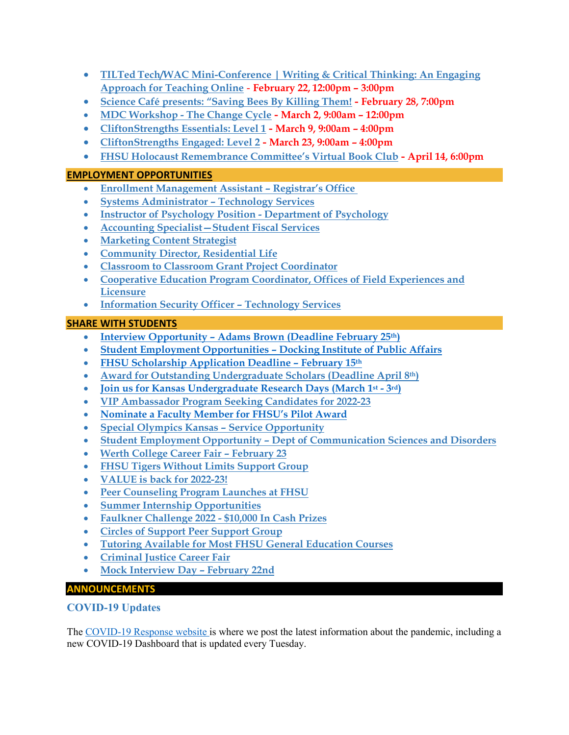- **TILTed [Tech/WAC Mini-Conference | Writing & Critical Thinking: An Engaging](#page-12-1)  [Approach for Teaching Online](#page-12-1)** - **February 22, 12:00pm – 3:00pm**
- **[Science Café presents: "Saving Bees By Killing Them!](#page-13-0) - February 28, 7:00pm**
- **MDC Workshop - [The Change Cycle](#page-13-1) - March 2, 9:00am – 12:00pm**
- **[CliftonStrengths Essentials: Level 1](#page-13-2) - March 9, 9:00am – 4:00pm**
- **[CliftonStrengths Engaged: Level 2](#page-14-0) - March 23, 9:00am – 4:00pm**
- **[FHSU Holocaust Remembrance Committee's Virtual Book Club](#page-14-1) - April 14, 6:00pm**

# **EMPLOYMENT OPPORTUNITIES**

- **[Enrollment Management Assistant –](#page-14-2) Registrar's Office**
- **[Systems Administrator –](#page-15-0) Technology Services**
- **[Instructor of Psychology Position -](#page-15-1) Department of Psychology**
- **[Accounting Specialist—Student Fiscal Services](#page-16-0)**
- **[Marketing Content Strategist](#page-16-1)**
- **[Community Director, Residential Life](#page-17-0)**
- **[Classroom to Classroom Grant Project Coordinator](#page-17-1)**
- **[Cooperative Education Program Coordinator, Offices of Field Experiences and](#page-17-2)  [Licensure](#page-17-2)**
- **[Information Security Officer –](#page-18-0) Technology Services**

# **SHARE WITH STUDENTS**

- **Interview Opportunity – [Adams Brown \(Deadline February 25th\)](#page-18-1)**
- **[Student Employment Opportunities –](#page-18-2) Docking Institute of Public Affairs**
- **[FHSU Scholarship Application Deadline –](#page-19-0) February 15th**
- **[Award for Outstanding Undergraduate Scholars \(Deadline April 8th\)](#page-19-1)**
- **Join us for Kansas Undergraduate Research Days (March 1st - 3rd)**
- **[VIP Ambassador Program Seeking Candidates for 2022-23](#page-20-0)**
- **[Nominate a Faculty Member for FHSU's Pilot Award](#page-21-0)**
- **[Special Olympics Kansas –](#page-21-1) Service Opportunity**
- **Student Employment Opportunity – [Dept of Communication Sciences and Disorders](#page-21-2)**
- **[Werth College Career Fair –](#page-21-3) February 23**
- **[FHSU Tigers Without Limits Support Group](#page-22-0)**
- **[VALUE is back for 2022-23!](#page-22-1)**
- **[Peer Counseling Program Launches at FHSU](#page-23-0)**
- **[Summer Internship Opportunities](#page-23-1)**
- **[Faulkner Challenge 2022 -](#page-23-2) \$10,000 In Cash Prizes**
- **[Circles of Support Peer Support Group](#page-24-0)**
- **[Tutoring Available for Most FHSU General Education Courses](#page-24-1)**
- **[Criminal Justice Career Fair](#page-25-0)**
- <span id="page-2-0"></span>• **[Mock Interview Day –](#page-25-1) February 22nd**

# **ANNOUNCEMENTS**

# **COVID-19 Updates**

The [COVID-19 Response website](https://www.fhsu.edu/covid-19-response/index) is where we post the latest information about the pandemic, including a new COVID-19 Dashboard that is updated every Tuesday.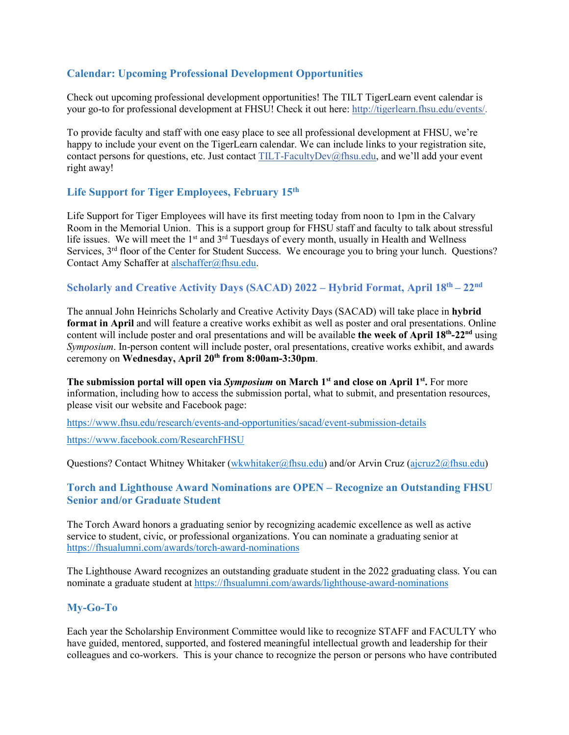# <span id="page-3-0"></span>**Calendar: Upcoming Professional Development Opportunities**

Check out upcoming professional development opportunities! The TILT TigerLearn event calendar is your go-to for professional development at FHSU! Check it out here: [http://tigerlearn.fhsu.edu/events/.](http://tigerlearn.fhsu.edu/events/)

To provide faculty and staff with one easy place to see all professional development at FHSU, we're happy to include your event on the TigerLearn calendar. We can include links to your registration site, contact persons for questions, etc. Just contact [TILT-FacultyDev@fhsu.edu,](mailto:TILT-FacultyDev@fhsu.edu) and we'll add your event right away!

### <span id="page-3-1"></span>**Life Support for Tiger Employees, February 15th**

Life Support for Tiger Employees will have its first meeting today from noon to 1pm in the Calvary Room in the Memorial Union. This is a support group for FHSU staff and faculty to talk about stressful life issues. We will meet the 1<sup>st</sup> and 3<sup>rd</sup> Tuesdays of every month, usually in Health and Wellness Services, 3<sup>rd</sup> floor of the Center for Student Success. We encourage you to bring your lunch. Questions? Contact Amy Schaffer at [alschaffer@fhsu.edu.](mailto:alschaffer@fhsu.edu)

### <span id="page-3-2"></span>**Scholarly and Creative Activity Days (SACAD) 2022 – Hybrid Format, April 18th – 22nd**

The annual John Heinrichs Scholarly and Creative Activity Days (SACAD) will take place in **hybrid format in April** and will feature a creative works exhibit as well as poster and oral presentations. Online content will include poster and oral presentations and will be available **the week of April 18th-22nd** using *Symposium*. In-person content will include poster, oral presentations, creative works exhibit, and awards ceremony on **Wednesday, April 20th from 8:00am-3:30pm**.

**The submission portal will open via** *Symposium* **on March 1st and close on April 1st.** For more information, including how to access the submission portal, what to submit, and presentation resources, please visit our website and Facebook page:

<https://www.fhsu.edu/research/events-and-opportunities/sacad/event-submission-details>

<https://www.facebook.com/ResearchFHSU>

Questions? Contact Whitney Whitaker [\(wkwhitaker@fhsu.edu\)](mailto:wkwhitaker@fhsu.edu) and/or Arvin Cruz [\(ajcruz2@fhsu.edu\)](mailto:ajcruz2@fhsu.edu)

### <span id="page-3-3"></span>**Torch and Lighthouse Award Nominations are OPEN – Recognize an Outstanding FHSU Senior and/or Graduate Student**

The Torch Award honors a graduating senior by recognizing academic excellence as well as active service to student, civic, or professional organizations. You can nominate a graduating senior at <https://fhsualumni.com/awards/torch-award-nominations>

The Lighthouse Award recognizes an outstanding graduate student in the 2022 graduating class. You can nominate a graduate student at<https://fhsualumni.com/awards/lighthouse-award-nominations>

### <span id="page-3-4"></span>**My-Go-To**

Each year the Scholarship Environment Committee would like to recognize STAFF and FACULTY who have guided, mentored, supported, and fostered meaningful intellectual growth and leadership for their colleagues and co-workers. This is your chance to recognize the person or persons who have contributed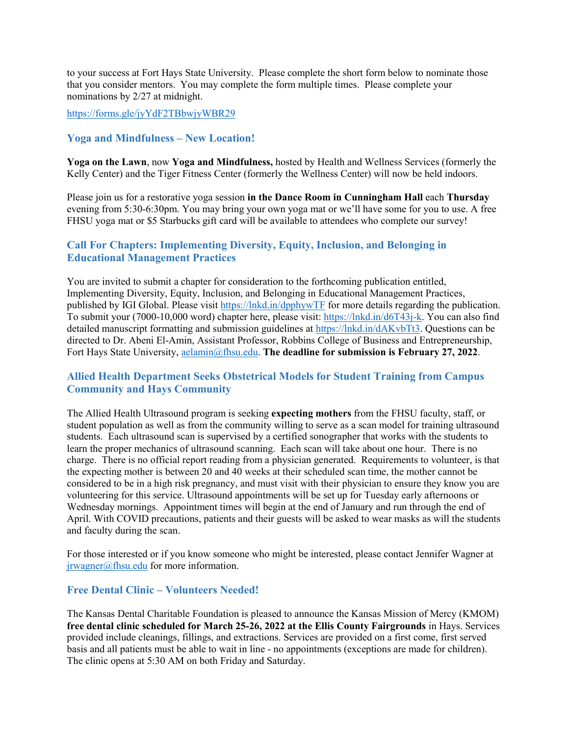to your success at Fort Hays State University. Please complete the short form below to nominate those that you consider mentors. You may complete the form multiple times. Please complete your nominations by 2/27 at midnight.

#### <https://forms.gle/jyYdF2TBbwjyWBR29>

### <span id="page-4-0"></span>**Yoga and Mindfulness – New Location!**

**Yoga on the Lawn**, now **Yoga and Mindfulness,** hosted by Health and Wellness Services (formerly the Kelly Center) and the Tiger Fitness Center (formerly the Wellness Center) will now be held indoors.

Please join us for a restorative yoga session **in the Dance Room in Cunningham Hall** each **Thursday** evening from 5:30-6:30pm. You may bring your own yoga mat or we'll have some for you to use. A free FHSU yoga mat or \$5 Starbucks gift card will be available to attendees who complete our survey!

### <span id="page-4-1"></span>**Call For Chapters: Implementing Diversity, Equity, Inclusion, and Belonging in Educational Management Practices**

You are invited to submit a chapter for consideration to the forthcoming publication entitled, Implementing Diversity, Equity, Inclusion, and Belonging in Educational Management Practices, published by IGI Global. Please visit<https://lnkd.in/dpphywTF> for more details regarding the publication. To submit your (7000-10,000 word) chapter here, please visit: [https://lnkd.in/d6T43j-k.](https://lnkd.in/d6T43j-k) You can also find detailed manuscript formatting and submission guidelines at [https://lnkd.in/dAKvbTt3.](https://lnkd.in/dAKvbTt3) Questions can be directed to Dr. Abeni El-Amin, Assistant Professor, Robbins College of Business and Entrepreneurship, Fort Hays State University, [aelamin@fhsu.edu.](mailto:aelamin@fhsu.edu) **The deadline for submission is February 27, 2022**.

### <span id="page-4-2"></span>**Allied Health Department Seeks Obstetrical Models for Student Training from Campus Community and Hays Community**

The Allied Health Ultrasound program is seeking **expecting mothers** from the FHSU faculty, staff, or student population as well as from the community willing to serve as a scan model for training ultrasound students. Each ultrasound scan is supervised by a certified sonographer that works with the students to learn the proper mechanics of ultrasound scanning. Each scan will take about one hour. There is no charge. There is no official report reading from a physician generated. Requirements to volunteer, is that the expecting mother is between 20 and 40 weeks at their scheduled scan time, the mother cannot be considered to be in a high risk pregnancy, and must visit with their physician to ensure they know you are volunteering for this service. Ultrasound appointments will be set up for Tuesday early afternoons or Wednesday mornings. Appointment times will begin at the end of January and run through the end of April. With COVID precautions, patients and their guests will be asked to wear masks as will the students and faculty during the scan.

For those interested or if you know someone who might be interested, please contact Jennifer Wagner at [jrwagner@fhsu.edu](mailto:jrwagner@fhsu.edu) for more information.

### <span id="page-4-3"></span>**Free Dental Clinic – Volunteers Needed!**

The Kansas Dental Charitable Foundation is pleased to announce the Kansas Mission of Mercy (KMOM) **free dental clinic scheduled for March 25-26, 2022 at the Ellis County Fairgrounds** in Hays. Services provided include cleanings, fillings, and extractions. Services are provided on a first come, first served basis and all patients must be able to wait in line - no appointments (exceptions are made for children). The clinic opens at 5:30 AM on both Friday and Saturday.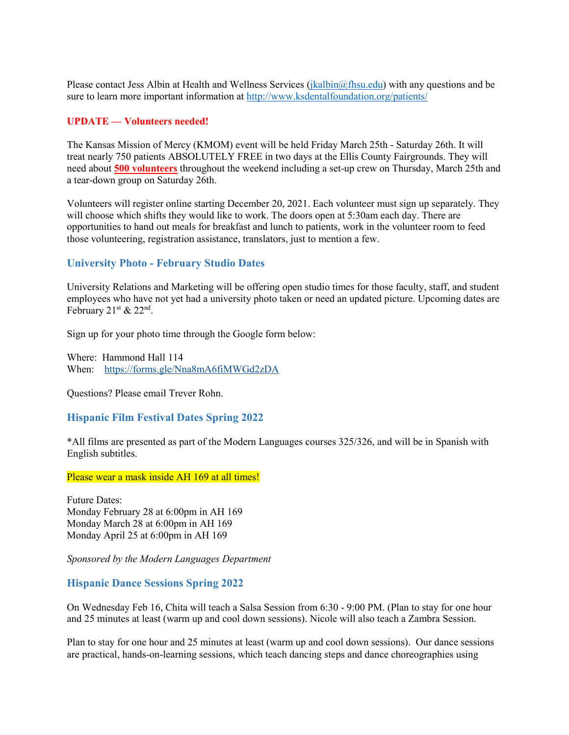Please contact Jess Albin at Health and Wellness Services [\(jkalbin@fhsu.edu\)](mailto:jkalbin@fhsu.edu) with any questions and be sure to learn more important information at<http://www.ksdentalfoundation.org/patients/>

#### **UPDATE — Volunteers needed!**

The Kansas Mission of Mercy (KMOM) event will be held Friday March 25th - Saturday 26th. It will treat nearly 750 patients ABSOLUTELY FREE in two days at the Ellis County Fairgrounds. They will need about **500 volunteers** throughout the weekend including a set-up crew on Thursday, March 25th and a tear-down group on Saturday 26th.

Volunteers will register online starting December 20, 2021. Each volunteer must sign up separately. They will choose which shifts they would like to work. The doors open at 5:30am each day. There are opportunities to hand out meals for breakfast and lunch to patients, work in the volunteer room to feed those volunteering, registration assistance, translators, just to mention a few.

#### <span id="page-5-0"></span>**University Photo - February Studio Dates**

University Relations and Marketing will be offering open studio times for those faculty, staff, and student employees who have not yet had a university photo taken or need an updated picture. Upcoming dates are February  $21^{st}$  &  $22^{nd}$ .

Sign up for your photo time through the Google form below:

Where: Hammond Hall 114 When: <https://forms.gle/Nna8mA6fiMWGd2zDA>

Questions? Please email Trever Rohn.

#### <span id="page-5-1"></span>**Hispanic Film Festival Dates Spring 2022**

\*All films are presented as part of the Modern Languages courses 325/326, and will be in Spanish with English subtitles.

Please wear a mask inside AH 169 at all times!

Future Dates: Monday February 28 at 6:00pm in AH 169 Monday March 28 at 6:00pm in AH 169 Monday April 25 at 6:00pm in AH 169

*Sponsored by the Modern Languages Department* 

#### <span id="page-5-2"></span>**Hispanic Dance Sessions Spring 2022**

On Wednesday Feb 16, Chita will teach a Salsa Session from 6:30 - 9:00 PM. (Plan to stay for one hour and 25 minutes at least (warm up and cool down sessions). Nicole will also teach a Zambra Session.

Plan to stay for one hour and 25 minutes at least (warm up and cool down sessions). Our dance sessions are practical, hands-on-learning sessions, which teach dancing steps and dance choreographies using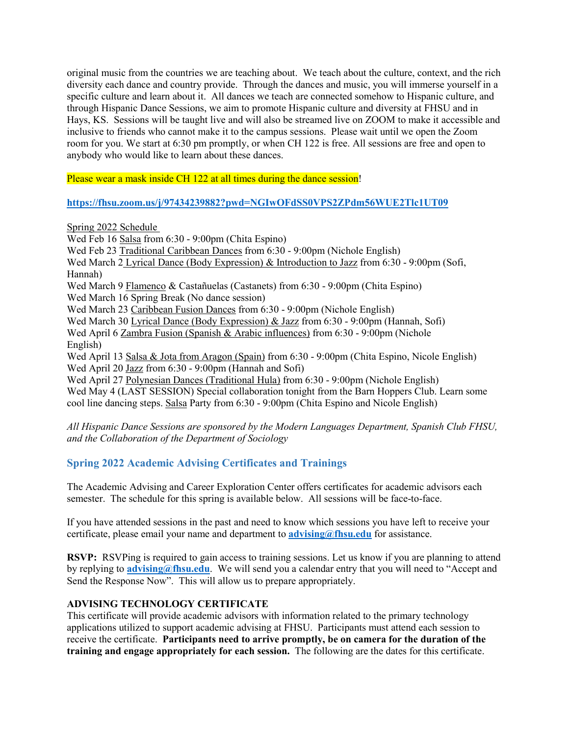original music from the countries we are teaching about. We teach about the culture, context, and the rich diversity each dance and country provide. Through the dances and music, you will immerse yourself in a specific culture and learn about it. All dances we teach are connected somehow to Hispanic culture, and through Hispanic Dance Sessions, we aim to promote Hispanic culture and diversity at FHSU and in Hays, KS. Sessions will be taught live and will also be streamed live on ZOOM to make it accessible and inclusive to friends who cannot make it to the campus sessions. Please wait until we open the Zoom room for you. We start at 6:30 pm promptly, or when CH 122 is free. All sessions are free and open to anybody who would like to learn about these dances.

Please wear a mask inside CH 122 at all times during the dance session!

### **<https://fhsu.zoom.us/j/97434239882?pwd=NGIwOFdSS0VPS2ZPdm56WUE2Tlc1UT09>**

Spring 2022 Schedule

Wed Feb 16 Salsa from 6:30 - 9:00pm (Chita Espino) Wed Feb 23 Traditional Caribbean Dances from 6:30 - 9:00pm (Nichole English) Wed March 2 Lyrical Dance (Body Expression) & Introduction to Jazz from 6:30 - 9:00pm (Sofi, Hannah) Wed March 9 Flamenco & Castañuelas (Castanets) from 6:30 - 9:00pm (Chita Espino) Wed March 16 Spring Break (No dance session) Wed March 23 Caribbean Fusion Dances from 6:30 - 9:00pm (Nichole English) Wed March 30 Lyrical Dance (Body Expression) & Jazz from 6:30 - 9:00pm (Hannah, Sofi) Wed April 6 Zambra Fusion (Spanish & Arabic influences) from 6:30 - 9:00pm (Nichole English) Wed April 13 Salsa & Jota from Aragon (Spain) from 6:30 - 9:00pm (Chita Espino, Nicole English) Wed April 20 Jazz from 6:30 - 9:00pm (Hannah and Sofi) Wed April 27 Polynesian Dances (Traditional Hula) from 6:30 - 9:00pm (Nichole English) Wed May 4 (LAST SESSION) Special collaboration tonight from the Barn Hoppers Club. Learn some cool line dancing steps. Salsa Party from 6:30 - 9:00pm (Chita Espino and Nicole English)

*All Hispanic Dance Sessions are sponsored by the Modern Languages Department, Spanish Club FHSU, and the Collaboration of the Department of Sociology*

# <span id="page-6-0"></span>**Spring 2022 Academic Advising Certificates and Trainings**

The Academic Advising and Career Exploration Center offers certificates for academic advisors each semester. The schedule for this spring is available below. All sessions will be face-to-face.

If you have attended sessions in the past and need to know which sessions you have left to receive your certificate, please email your name and department to **[advising@fhsu.edu](mailto:advising@fhsu.edu)** for assistance.

**RSVP:** RSVPing is required to gain access to training sessions. Let us know if you are planning to attend by replying to **[advising@fhsu.edu](mailto:advising@fhsu.edu)**. We will send you a calendar entry that you will need to "Accept and Send the Response Now". This will allow us to prepare appropriately.

### **ADVISING TECHNOLOGY CERTIFICATE**

This certificate will provide academic advisors with information related to the primary technology applications utilized to support academic advising at FHSU. Participants must attend each session to receive the certificate. **Participants need to arrive promptly, be on camera for the duration of the training and engage appropriately for each session.** The following are the dates for this certificate.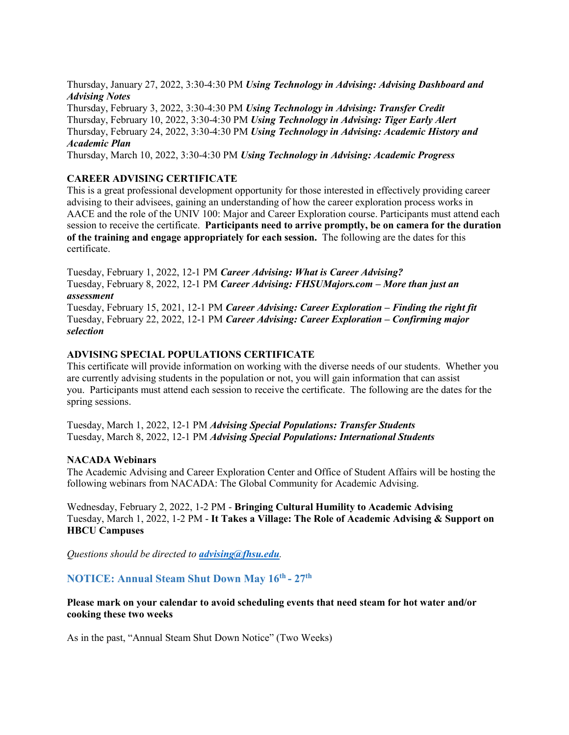Thursday, January 27, 2022, 3:30-4:30 PM *Using Technology in Advising: Advising Dashboard and Advising Notes*

Thursday, February 3, 2022, 3:30-4:30 PM *Using Technology in Advising: Transfer Credit* Thursday, February 10, 2022, 3:30-4:30 PM *Using Technology in Advising: Tiger Early Alert* Thursday, February 24, 2022, 3:30-4:30 PM *Using Technology in Advising: Academic History and Academic Plan*

Thursday, March 10, 2022, 3:30-4:30 PM *Using Technology in Advising: Academic Progress*

### **CAREER ADVISING CERTIFICATE**

This is a great professional development opportunity for those interested in effectively providing career advising to their advisees, gaining an understanding of how the career exploration process works in AACE and the role of the UNIV 100: Major and Career Exploration course. Participants must attend each session to receive the certificate. **Participants need to arrive promptly, be on camera for the duration of the training and engage appropriately for each session.** The following are the dates for this certificate.

Tuesday, February 1, 2022, 12-1 PM *Career Advising: What is Career Advising?* Tuesday, February 8, 2022, 12-1 PM *Career Advising: FHSUMajors.com – More than just an assessment*

Tuesday, February 15, 2021, 12-1 PM *Career Advising: Career Exploration – Finding the right fit* Tuesday, February 22, 2022, 12-1 PM *Career Advising: Career Exploration – Confirming major selection*

### **ADVISING SPECIAL POPULATIONS CERTIFICATE**

This certificate will provide information on working with the diverse needs of our students. Whether you are currently advising students in the population or not, you will gain information that can assist you. Participants must attend each session to receive the certificate. The following are the dates for the spring sessions.

Tuesday, March 1, 2022, 12-1 PM *Advising Special Populations: Transfer Students* Tuesday, March 8, 2022, 12-1 PM *Advising Special Populations: International Students*

#### **NACADA Webinars**

The Academic Advising and Career Exploration Center and Office of Student Affairs will be hosting the following webinars from NACADA: The Global Community for Academic Advising.

Wednesday, February 2, 2022, 1-2 PM - **Bringing Cultural Humility to Academic Advising** Tuesday, March 1, 2022, 1-2 PM - **It Takes a Village: The Role of Academic Advising & Support on HBCU Campuses**

*Questions should be directed to [advising@fhsu.edu](mailto:advising@fhsu.edu).*

<span id="page-7-0"></span>**NOTICE: Annual Steam Shut Down May 16th - 27th**

**Please mark on your calendar to avoid scheduling events that need steam for hot water and/or cooking these two weeks**

As in the past, "Annual Steam Shut Down Notice" (Two Weeks)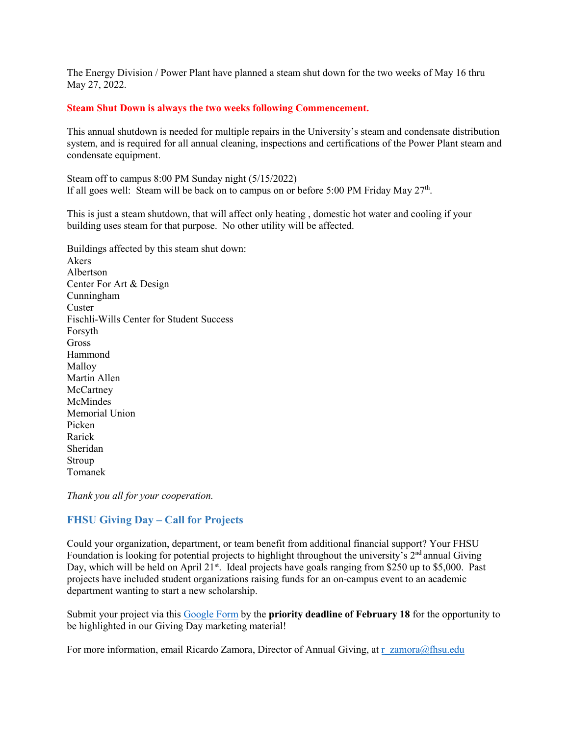The Energy Division / Power Plant have planned a steam shut down for the two weeks of May 16 thru May 27, 2022.

#### **Steam Shut Down is always the two weeks following Commencement.**

This annual shutdown is needed for multiple repairs in the University's steam and condensate distribution system, and is required for all annual cleaning, inspections and certifications of the Power Plant steam and condensate equipment.

Steam off to campus 8:00 PM Sunday night (5/15/2022) If all goes well: Steam will be back on to campus on or before 5:00 PM Friday May  $27<sup>th</sup>$ .

This is just a steam shutdown, that will affect only heating , domestic hot water and cooling if your building uses steam for that purpose. No other utility will be affected.

Buildings affected by this steam shut down: Akers Albertson Center For Art & Design Cunningham **Custer** Fischli-Wills Center for Student Success Forsyth Gross Hammond Malloy Martin Allen **McCartney** McMindes Memorial Union Picken Rarick Sheridan Stroup Tomanek

*Thank you all for your cooperation.*

### <span id="page-8-0"></span>**FHSU Giving Day – Call for Projects**

Could your organization, department, or team benefit from additional financial support? Your FHSU Foundation is looking for potential projects to highlight throughout the university's  $2<sup>nd</sup>$  annual Giving Day, which will be held on April  $21^{st}$ . Ideal projects have goals ranging from \$250 up to \$5,000. Past projects have included student organizations raising funds for an on-campus event to an academic department wanting to start a new scholarship.

Submit your project via this [Google Form](https://docs.google.com/forms/d/e/1FAIpQLSfGGdZN44-oAR4DK91KIVMj0xqlPZb_u2aSW9911W5o8lF0HQ/viewform?usp=sf_link) by the **priority deadline of February 18** for the opportunity to be highlighted in our Giving Day marketing material!

For more information, email Ricardo Zamora, Director of Annual Giving, at [r\\_zamora@fhsu.edu](mailto:r_zamora@fhsu.edu)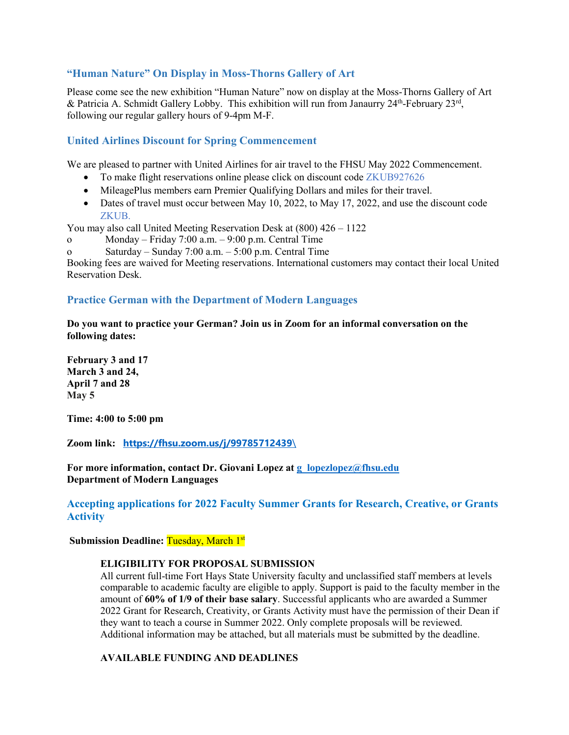### <span id="page-9-0"></span>**"Human Nature" On Display in Moss-Thorns Gallery of Art**

Please come see the new exhibition "Human Nature" now on display at the Moss-Thorns Gallery of Art & Patricia A. Schmidt Gallery Lobby. This exhibition will run from Janaurry  $24<sup>th</sup>$ -February  $23<sup>rd</sup>$ , following our regular gallery hours of 9-4pm M-F.

# <span id="page-9-1"></span>**United Airlines Discount for Spring Commencement**

We are pleased to partner with United Airlines for air travel to the FHSU May 2022 Commencement.

- To make flight reservations online please click on discount code ZKUB927626
- MileagePlus members earn Premier Qualifying Dollars and miles for their travel.
- Dates of travel must occur between May 10, 2022, to May 17, 2022, and use the discount code ZKUB.

You may also call United Meeting Reservation Desk at (800) 426 – 1122

- o Monday Friday 7:00 a.m. 9:00 p.m. Central Time
- o Saturday Sunday 7:00 a.m. 5:00 p.m. Central Time

Booking fees are waived for Meeting reservations. International customers may contact their local United Reservation Desk.

### <span id="page-9-2"></span>**Practice German with the Department of Modern Languages**

**Do you want to practice your German? Join us in Zoom for an informal conversation on the following dates:**

**February 3 and 17 March 3 and 24, April 7 and 28 May 5**

**Time: 4:00 to 5:00 pm**

**Zoom link: [https://fhsu.zoom.us/j/99785712439](https://fhsu.zoom.us/j/99785712439/)**\

**For more information, contact Dr. Giovani Lopez at [g\\_lopezlopez@fhsu.edu](mailto:g_lopezlopez@fhsu.edu) Department of Modern Languages**

### <span id="page-9-3"></span>**Accepting applications for 2022 Faculty Summer Grants for Research, Creative, or Grants Activity**

**Submission Deadline: Tuesday, March 1st** 

### **ELIGIBILITY FOR PROPOSAL SUBMISSION**

All current full-time Fort Hays State University faculty and unclassified staff members at levels comparable to academic faculty are eligible to apply. Support is paid to the faculty member in the amount of **60% of 1/9 of their base salary**. Successful applicants who are awarded a Summer 2022 Grant for Research, Creativity, or Grants Activity must have the permission of their Dean if they want to teach a course in Summer 2022. Only complete proposals will be reviewed. Additional information may be attached, but all materials must be submitted by the deadline.

### **AVAILABLE FUNDING AND DEADLINES**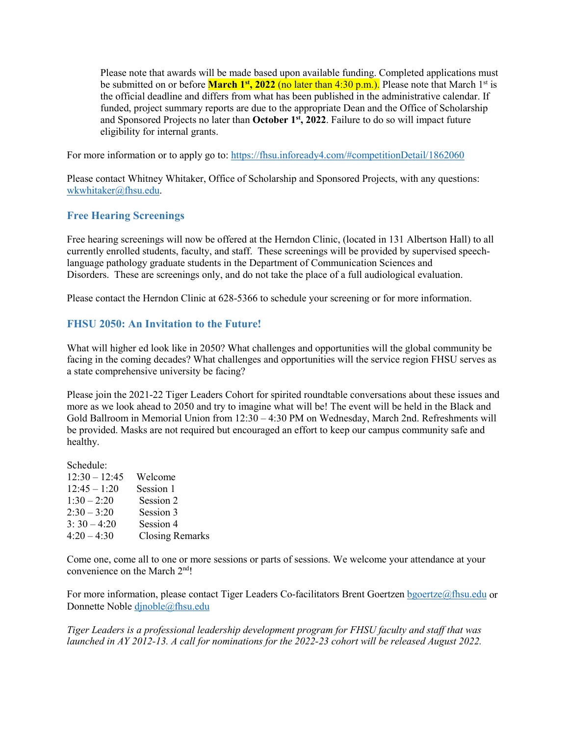Please note that awards will be made based upon available funding. Completed applications must be submitted on or before **March 1<sup>st</sup>, 2022** (no later than 4:30 p.m.). Please note that March 1<sup>st</sup> is the official deadline and differs from what has been published in the administrative calendar. If funded, project summary reports are due to the appropriate Dean and the Office of Scholarship and Sponsored Projects no later than **October 1st, 2022**. Failure to do so will impact future eligibility for internal grants.

For more information or to apply go to:<https://fhsu.infoready4.com/#competitionDetail/1862060>

Please contact Whitney Whitaker, Office of Scholarship and Sponsored Projects, with any questions: [wkwhitaker@fhsu.edu.](mailto:mjkoonse@fhsu.edu)

# <span id="page-10-0"></span>**Free Hearing Screenings**

Free hearing screenings will now be offered at the Herndon Clinic, (located in 131 Albertson Hall) to all currently enrolled students, faculty, and staff. These screenings will be provided by supervised speechlanguage pathology graduate students in the Department of Communication Sciences and Disorders. These are screenings only, and do not take the place of a full audiological evaluation.

Please contact the Herndon Clinic at 628-5366 to schedule your screening or for more information.

# <span id="page-10-1"></span>**FHSU 2050: An Invitation to the Future!**

What will higher ed look like in 2050? What challenges and opportunities will the global community be facing in the coming decades? What challenges and opportunities will the service region FHSU serves as a state comprehensive university be facing?

Please join the 2021-22 Tiger Leaders Cohort for spirited roundtable conversations about these issues and more as we look ahead to 2050 and try to imagine what will be! The event will be held in the Black and Gold Ballroom in Memorial Union from 12:30 – 4:30 PM on Wednesday, March 2nd. Refreshments will be provided. Masks are not required but encouraged an effort to keep our campus community safe and healthy.

# Schedule: 12:30 – 12:45 Welcome 12:45 – 1:20 Session 1  $1:30 - 2:20$  Session 2  $2:30 - 3:20$  Session 3  $3: 30 - 4:20$  Session 4<br> $4:20 - 4:30$  Closing R

Closing Remarks

Come one, come all to one or more sessions or parts of sessions. We welcome your attendance at your convenience on the March 2nd!

For more information, please contact Tiger Leaders Co-facilitators Brent Goertzen [bgoertze@fhsu.edu](mailto:bgoertze@fhsu.edu) or Donnette Noble [djnoble@fhsu.edu](mailto:djnoble@fhsu.edu)

*Tiger Leaders is a professional leadership development program for FHSU faculty and staff that was launched in AY 2012-13. A call for nominations for the 2022-23 cohort will be released August 2022.*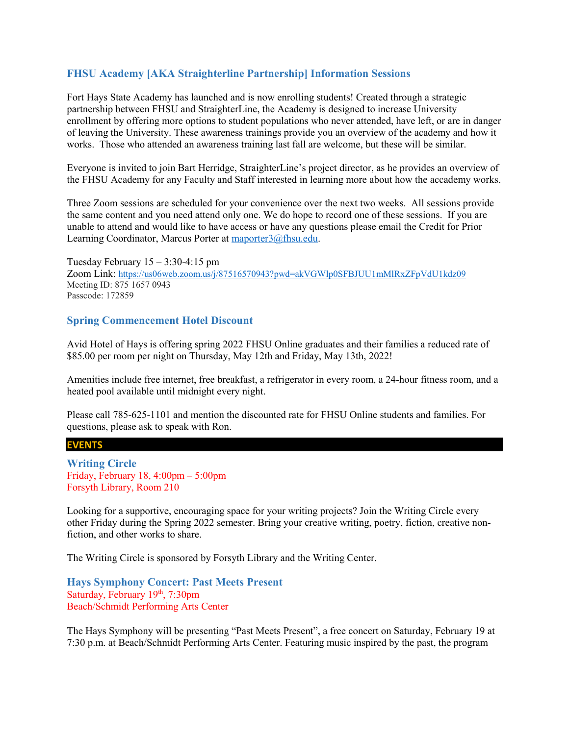### <span id="page-11-0"></span>**FHSU Academy [AKA Straighterline Partnership] Information Sessions**

Fort Hays State Academy has launched and is now enrolling students! Created through a strategic partnership between FHSU and StraighterLine, the Academy is designed to increase University enrollment by offering more options to student populations who never attended, have left, or are in danger of leaving the University. These awareness trainings provide you an overview of the academy and how it works. Those who attended an awareness training last fall are welcome, but these will be similar.

Everyone is invited to join Bart Herridge, StraighterLine's project director, as he provides an overview of the FHSU Academy for any Faculty and Staff interested in learning more about how the accademy works.

Three Zoom sessions are scheduled for your convenience over the next two weeks. All sessions provide the same content and you need attend only one. We do hope to record one of these sessions. If you are unable to attend and would like to have access or have any questions please email the Credit for Prior Learning Coordinator, Marcus Porter at [maporter3@fhsu.edu.](mailto:maporter3@fhsu.edu)

Tuesday February  $15 - 3:30 - 4:15$  pm Zoom Link:<https://us06web.zoom.us/j/87516570943?pwd=akVGWlp0SFBJUU1mMlRxZFpVdU1kdz09> Meeting ID: 875 1657 0943 Passcode: 172859

### <span id="page-11-1"></span>**Spring Commencement Hotel Discount**

Avid Hotel of Hays is offering spring 2022 FHSU Online graduates and their families a reduced rate of \$85.00 per room per night on Thursday, May 12th and Friday, May 13th, 2022!

Amenities include free internet, free breakfast, a refrigerator in every room, a 24-hour fitness room, and a heated pool available until midnight every night.

Please call 785-625-1101 and mention the discounted rate for FHSU Online students and families. For questions, please ask to speak with Ron.

**EVENTS**

<span id="page-11-2"></span>**Writing Circle** Friday, February 18, 4:00pm – 5:00pm Forsyth Library, Room 210

Looking for a supportive, encouraging space for your writing projects? Join the Writing Circle every other Friday during the Spring 2022 semester. Bring your creative writing, poetry, fiction, creative nonfiction, and other works to share.

The Writing Circle is sponsored by Forsyth Library and the Writing Center.

<span id="page-11-3"></span>**Hays Symphony Concert: Past Meets Present** Saturday, February 19th, 7:30pm Beach/Schmidt Performing Arts Center

The Hays Symphony will be presenting "Past Meets Present", a free concert on Saturday, February 19 at 7:30 p.m. at Beach/Schmidt Performing Arts Center. Featuring music inspired by the past, the program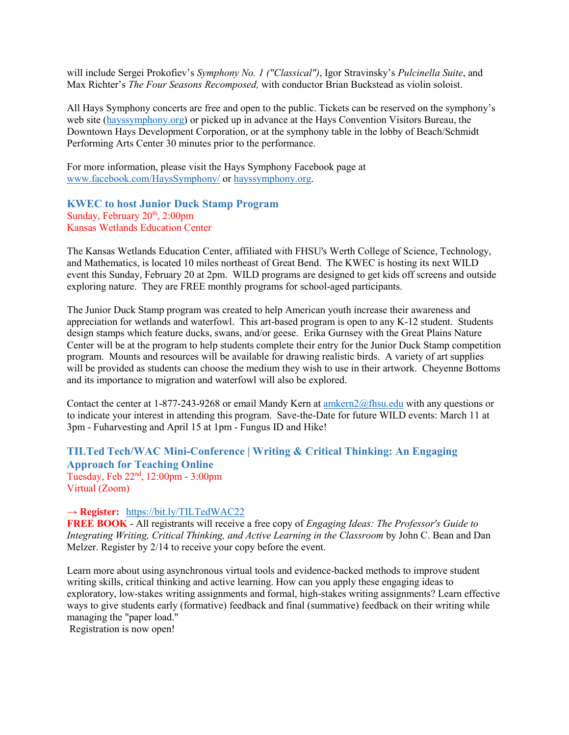will include Sergei Prokofiev's *Symphony No. 1 ("Classical")*, Igor Stravinsky's *Pulcinella Suite*, and Max Richter's *The Four Seasons Recomposed,* with conductor Brian Buckstead as violin soloist.

All Hays Symphony concerts are free and open to the public. Tickets can be reserved on the symphony's web site [\(hayssymphony.org\)](https://www.hayssymphony.org/) or picked up in advance at the Hays Convention Visitors Bureau, the Downtown Hays Development Corporation, or at the symphony table in the lobby of Beach/Schmidt Performing Arts Center 30 minutes prior to the performance.

For more information, please visit the Hays Symphony Facebook page at [www.facebook.com/HaysSymphony/](http://www.facebook.com/HaysSymphony/) or [hayssymphony.org.](https://www.hayssymphony.org/)

<span id="page-12-0"></span>**KWEC to host Junior Duck Stamp Program** Sunday, February 20<sup>th</sup>, 2:00pm Kansas Wetlands Education Center

The Kansas Wetlands Education Center, affiliated with FHSU's Werth College of Science, Technology, and Mathematics, is located 10 miles northeast of Great Bend. The KWEC is hosting its next WILD event this Sunday, February 20 at 2pm. WILD programs are designed to get kids off screens and outside exploring nature. They are FREE monthly programs for school-aged participants.

The Junior Duck Stamp program was created to help American youth increase their awareness and appreciation for wetlands and waterfowl. This art-based program is open to any K-12 student. Students design stamps which feature ducks, swans, and/or geese. Erika Gurnsey with the Great Plains Nature Center will be at the program to help students complete their entry for the Junior Duck Stamp competition program. Mounts and resources will be available for drawing realistic birds. A variety of art supplies will be provided as students can choose the medium they wish to use in their artwork. Cheyenne Bottoms and its importance to migration and waterfowl will also be explored.

Contact the center at 1-877-243-9268 or email Mandy Kern at [amkern2@fhsu.edu](mailto:amkern2@fhsu.edu) with any questions or to indicate your interest in attending this program. Save-the-Date for future WILD events: March 11 at 3pm - Fuharvesting and April 15 at 1pm - Fungus ID and Hike!

# <span id="page-12-1"></span>**TILTed Tech/WAC Mini-Conference | Writing & Critical Thinking: An Engaging Approach for Teaching Online** Tuesday, Feb 22nd, 12:00pm - 3:00pm

Virtual (Zoom)

#### **→ Register:** <https://bit.ly/TILTedWAC22>

**FREE BOOK** - All registrants will receive a free copy of *Engaging Ideas: The Professor's Guide to Integrating Writing, Critical Thinking, and Active Learning in the Classroom* by John C. Bean and Dan Melzer. Register by 2/14 to receive your copy before the event.

Learn more about using asynchronous virtual tools and evidence-backed methods to improve student writing skills, critical thinking and active learning. How can you apply these engaging ideas to exploratory, low-stakes writing assignments and formal, high-stakes writing assignments? Learn effective ways to give students early (formative) feedback and final (summative) feedback on their writing while managing the "paper load."

Registration is now open!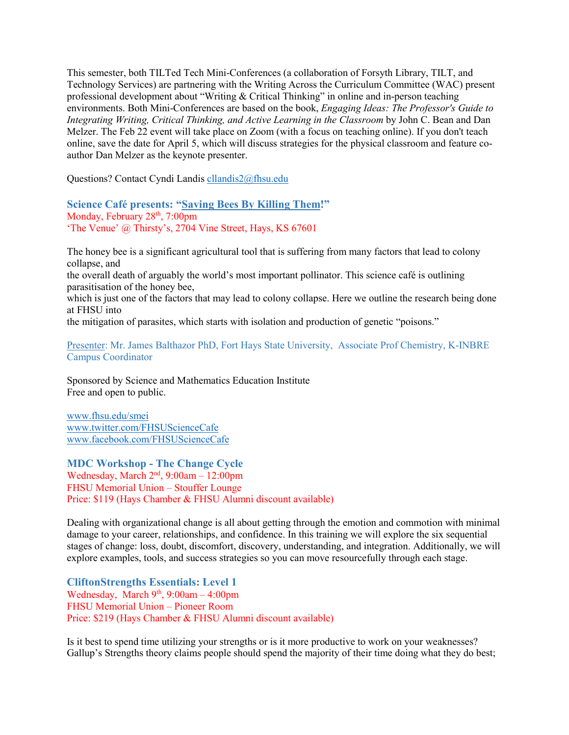This semester, both TILTed Tech Mini-Conferences (a collaboration of Forsyth Library, TILT, and Technology Services) are partnering with the Writing Across the Curriculum Committee (WAC) present professional development about "Writing & Critical Thinking" in online and in-person teaching environments. Both Mini-Conferences are based on the book, *Engaging Ideas: The Professor's Guide to Integrating Writing, Critical Thinking, and Active Learning in the Classroom* by John C. Bean and Dan Melzer. The Feb 22 event will take place on Zoom (with a focus on teaching online). If you don't teach online, save the date for April 5, which will discuss strategies for the physical classroom and feature coauthor Dan Melzer as the keynote presenter.

Questions? Contact Cyndi Landis [cllandis2@fhsu.edu](mailto:cllandis2@fhsu.edu)

<span id="page-13-0"></span>**Science Café presents: "Saving Bees By Killing Them!"** Monday, February 28<sup>th</sup>, 7:00pm 'The Venue' @ Thirsty's, 2704 Vine Street, Hays, KS 67601

The honey bee is a significant agricultural tool that is suffering from many factors that lead to colony collapse, and the overall death of arguably the world's most important pollinator. This science café is outlining parasitisation of the honey bee, which is just one of the factors that may lead to colony collapse. Here we outline the research being done at FHSU into the mitigation of parasites, which starts with isolation and production of genetic "poisons."

Presenter: Mr. James Balthazor PhD, Fort Hays State University, Associate Prof Chemistry, K-INBRE Campus Coordinator

Sponsored by Science and Mathematics Education Institute Free and open to public.

[www.fhsu.edu/smei](http://www.fhsu.edu/smei) [www.twitter.com/FHSUScienceCafe](http://www.twitter.com/FHSUScienceCafe) [www.facebook.com/FHSUScienceCafe](http://www.facebook.com/FHSUScienceCafe)

<span id="page-13-1"></span>**MDC Workshop - The Change Cycle**  Wednesday, March 2<sup>nd</sup>, 9:00am – 12:00pm FHSU Memorial Union – Stouffer Lounge Price: \$119 (Hays Chamber & FHSU Alumni discount available)

Dealing with organizational change is all about getting through the emotion and commotion with minimal damage to your career, relationships, and confidence. In this training we will explore the six sequential stages of change: loss, doubt, discomfort, discovery, understanding, and integration. Additionally, we will explore examples, tools, and success strategies so you can move resourcefully through each stage.

<span id="page-13-2"></span>**CliftonStrengths Essentials: Level 1**  Wednesday, March  $9<sup>th</sup>$ ,  $9:00am - 4:00pm$ FHSU Memorial Union – Pioneer Room Price: \$219 (Hays Chamber & FHSU Alumni discount available)

Is it best to spend time utilizing your strengths or is it more productive to work on your weaknesses? Gallup's Strengths theory claims people should spend the majority of their time doing what they do best;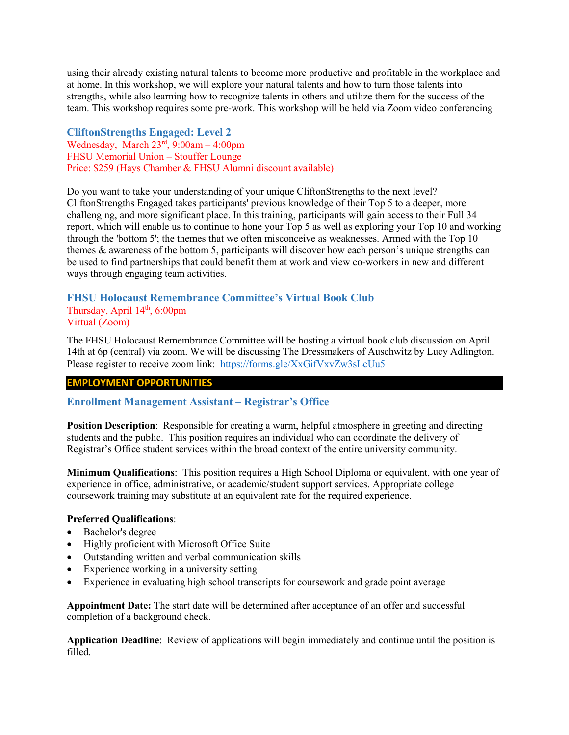using their already existing natural talents to become more productive and profitable in the workplace and at home. In this workshop, we will explore your natural talents and how to turn those talents into strengths, while also learning how to recognize talents in others and utilize them for the success of the team. This workshop requires some pre-work. This workshop will be held via Zoom video conferencing

<span id="page-14-0"></span>**CliftonStrengths Engaged: Level 2** Wednesday, March  $23<sup>rd</sup>$ ,  $9:00am - 4:00pm$ FHSU Memorial Union – Stouffer Lounge Price: \$259 (Hays Chamber & FHSU Alumni discount available)

Do you want to take your understanding of your unique CliftonStrengths to the next level? CliftonStrengths Engaged takes participants' previous knowledge of their Top 5 to a deeper, more challenging, and more significant place. In this training, participants will gain access to their Full 34 report, which will enable us to continue to hone your Top 5 as well as exploring your Top 10 and working through the 'bottom 5'; the themes that we often misconceive as weaknesses. Armed with the Top 10 themes & awareness of the bottom 5, participants will discover how each person's unique strengths can be used to find partnerships that could benefit them at work and view co-workers in new and different ways through engaging team activities.

### <span id="page-14-1"></span>**FHSU Holocaust Remembrance Committee's Virtual Book Club** Thursday, April  $14<sup>th</sup>$ , 6:00pm Virtual (Zoom)

The FHSU Holocaust Remembrance Committee will be hosting a virtual book club discussion on April 14th at 6p (central) via zoom. We will be discussing The Dressmakers of Auschwitz by Lucy Adlington. Please register to receive zoom link: <https://forms.gle/XxGifVxvZw3sLcUu5>

### **EMPLOYMENT OPPORTUNITIES**

### <span id="page-14-2"></span>**Enrollment Management Assistant – Registrar's Office**

**Position Description**: Responsible for creating a warm, helpful atmosphere in greeting and directing students and the public. This position requires an individual who can coordinate the delivery of Registrar's Office student services within the broad context of the entire university community.

**Minimum Qualifications**: This position requires a High School Diploma or equivalent, with one year of experience in office, administrative, or academic/student support services. Appropriate college coursework training may substitute at an equivalent rate for the required experience.

#### **Preferred Qualifications**:

- Bachelor's degree
- Highly proficient with Microsoft Office Suite
- Outstanding written and verbal communication skills
- Experience working in a university setting
- Experience in evaluating high school transcripts for coursework and grade point average

**Appointment Date:** The start date will be determined after acceptance of an offer and successful completion of a background check.

**Application Deadline**: Review of applications will begin immediately and continue until the position is filled.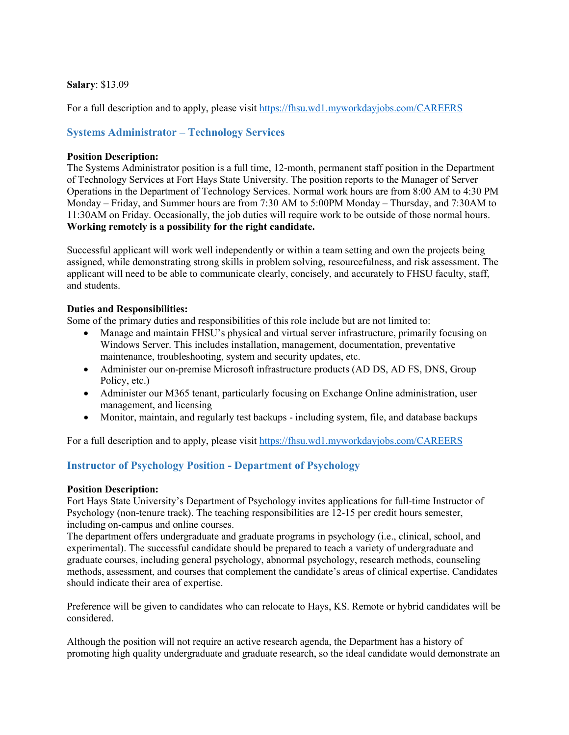### **Salary**: \$13.09

For a full description and to apply, please visit<https://fhsu.wd1.myworkdayjobs.com/CAREERS>

# <span id="page-15-0"></span>**Systems Administrator – Technology Services**

#### **Position Description:**

The Systems Administrator position is a full time, 12-month, permanent staff position in the Department of Technology Services at Fort Hays State University. The position reports to the Manager of Server Operations in the Department of Technology Services. Normal work hours are from 8:00 AM to 4:30 PM Monday – Friday, and Summer hours are from 7:30 AM to 5:00PM Monday – Thursday, and 7:30AM to 11:30AM on Friday. Occasionally, the job duties will require work to be outside of those normal hours. **Working remotely is a possibility for the right candidate.**

Successful applicant will work well independently or within a team setting and own the projects being assigned, while demonstrating strong skills in problem solving, resourcefulness, and risk assessment. The applicant will need to be able to communicate clearly, concisely, and accurately to FHSU faculty, staff, and students.

### **Duties and Responsibilities:**

Some of the primary duties and responsibilities of this role include but are not limited to:

- Manage and maintain FHSU's physical and virtual server infrastructure, primarily focusing on Windows Server. This includes installation, management, documentation, preventative maintenance, troubleshooting, system and security updates, etc.
- Administer our on-premise Microsoft infrastructure products (AD DS, AD FS, DNS, Group Policy, etc.)
- Administer our M365 tenant, particularly focusing on Exchange Online administration, user management, and licensing
- Monitor, maintain, and regularly test backups including system, file, and database backups

For a full description and to apply, please visit<https://fhsu.wd1.myworkdayjobs.com/CAREERS>

### <span id="page-15-1"></span>**Instructor of Psychology Position - Department of Psychology**

### **Position Description:**

Fort Hays State University's Department of Psychology invites applications for full-time Instructor of Psychology (non-tenure track). The teaching responsibilities are 12-15 per credit hours semester, including on-campus and online courses.

The department offers undergraduate and graduate programs in psychology (i.e., clinical, school, and experimental). The successful candidate should be prepared to teach a variety of undergraduate and graduate courses, including general psychology, abnormal psychology, research methods, counseling methods, assessment, and courses that complement the candidate's areas of clinical expertise. Candidates should indicate their area of expertise.

Preference will be given to candidates who can relocate to Hays, KS. Remote or hybrid candidates will be considered.

Although the position will not require an active research agenda, the Department has a history of promoting high quality undergraduate and graduate research, so the ideal candidate would demonstrate an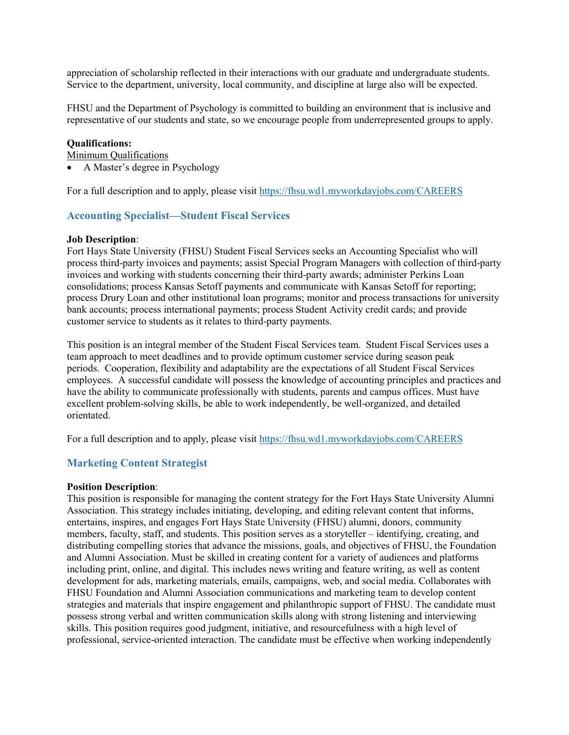appreciation of scholarship reflected in their interactions with our graduate and undergraduate students. Service to the department, university, local community, and discipline at large also will be expected.

FHSU and the Department of Psychology is committed to building an environment that is inclusive and representative of our students and state, so we encourage people from underrepresented groups to apply.

#### **Qualifications:**

Minimum Qualifications

• A Master's degree in Psychology

<span id="page-16-0"></span>For a full description and to apply, please visit<https://fhsu.wd1.myworkdayjobs.com/CAREERS>

#### **Accounting Specialist—Student Fiscal Services**

#### **Job Description**:

Fort Hays State University (FHSU) Student Fiscal Services seeks an Accounting Specialist who will process third-party invoices and payments; assist Special Program Managers with collection of third-party invoices and working with students concerning their third-party awards; administer Perkins Loan consolidations; process Kansas Setoff payments and communicate with Kansas Setoff for reporting; process Drury Loan and other institutional loan programs; monitor and process transactions for university bank accounts; process international payments; process Student Activity credit cards; and provide customer service to students as it relates to third-party payments.

This position is an integral member of the Student Fiscal Services team. Student Fiscal Services uses a team approach to meet deadlines and to provide optimum customer service during season peak periods. Cooperation, flexibility and adaptability are the expectations of all Student Fiscal Services employees. A successful candidate will possess the knowledge of accounting principles and practices and have the ability to communicate professionally with students, parents and campus offices. Must have excellent problem-solving skills, be able to work independently, be well-organized, and detailed orientated.

For a full description and to apply, please visit<https://fhsu.wd1.myworkdayjobs.com/CAREERS>

### <span id="page-16-1"></span>**Marketing Content Strategist**

#### **Position Description**:

This position is responsible for managing the content strategy for the Fort Hays State University Alumni Association. This strategy includes initiating, developing, and editing relevant content that informs, entertains, inspires, and engages Fort Hays State University (FHSU) alumni, donors, community members, faculty, staff, and students. This position serves as a storyteller – identifying, creating, and distributing compelling stories that advance the missions, goals, and objectives of FHSU, the Foundation and Alumni Association. Must be skilled in creating content for a variety of audiences and platforms including print, online, and digital. This includes news writing and feature writing, as well as content development for ads, marketing materials, emails, campaigns, web, and social media. Collaborates with FHSU Foundation and Alumni Association communications and marketing team to develop content strategies and materials that inspire engagement and philanthropic support of FHSU. The candidate must possess strong verbal and written communication skills along with strong listening and interviewing skills. This position requires good judgment, initiative, and resourcefulness with a high level of professional, service-oriented interaction. The candidate must be effective when working independently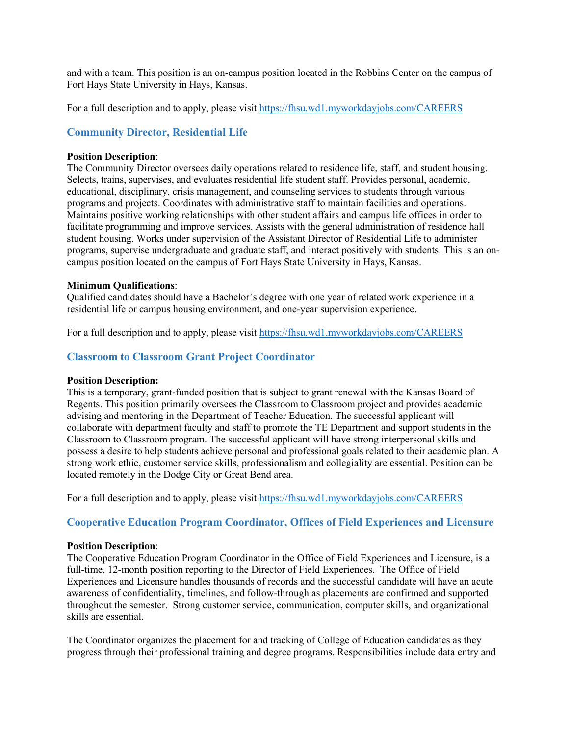and with a team. This position is an on-campus position located in the Robbins Center on the campus of Fort Hays State University in Hays, Kansas.

For a full description and to apply, please visit<https://fhsu.wd1.myworkdayjobs.com/CAREERS>

### <span id="page-17-0"></span>**Community Director, Residential Life**

#### **Position Description**:

The Community Director oversees daily operations related to residence life, staff, and student housing. Selects, trains, supervises, and evaluates residential life student staff. Provides personal, academic, educational, disciplinary, crisis management, and counseling services to students through various programs and projects. Coordinates with administrative staff to maintain facilities and operations. Maintains positive working relationships with other student affairs and campus life offices in order to facilitate programming and improve services. Assists with the general administration of residence hall student housing. Works under supervision of the Assistant Director of Residential Life to administer programs, supervise undergraduate and graduate staff, and interact positively with students. This is an oncampus position located on the campus of Fort Hays State University in Hays, Kansas.

#### **Minimum Qualifications**:

Qualified candidates should have a Bachelor's degree with one year of related work experience in a residential life or campus housing environment, and one-year supervision experience.

For a full description and to apply, please visit<https://fhsu.wd1.myworkdayjobs.com/CAREERS>

### <span id="page-17-1"></span>**Classroom to Classroom Grant Project Coordinator**

#### **Position Description:**

This is a temporary, grant-funded position that is subject to grant renewal with the Kansas Board of Regents. This position primarily oversees the Classroom to Classroom project and provides academic advising and mentoring in the Department of Teacher Education. The successful applicant will collaborate with department faculty and staff to promote the TE Department and support students in the Classroom to Classroom program. The successful applicant will have strong interpersonal skills and possess a desire to help students achieve personal and professional goals related to their academic plan. A strong work ethic, customer service skills, professionalism and collegiality are essential. Position can be located remotely in the Dodge City or Great Bend area.

For a full description and to apply, please visit<https://fhsu.wd1.myworkdayjobs.com/CAREERS>

### <span id="page-17-2"></span>**Cooperative Education Program Coordinator, Offices of Field Experiences and Licensure**

#### **Position Description**:

The Cooperative Education Program Coordinator in the Office of Field Experiences and Licensure, is a full-time, 12-month position reporting to the Director of Field Experiences. The Office of Field Experiences and Licensure handles thousands of records and the successful candidate will have an acute awareness of confidentiality, timelines, and follow-through as placements are confirmed and supported throughout the semester. Strong customer service, communication, computer skills, and organizational skills are essential.

The Coordinator organizes the placement for and tracking of College of Education candidates as they progress through their professional training and degree programs. Responsibilities include data entry and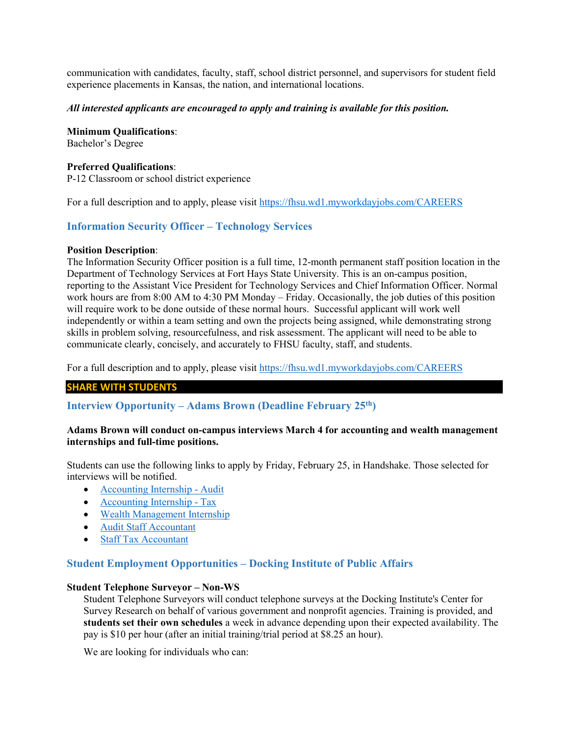communication with candidates, faculty, staff, school district personnel, and supervisors for student field experience placements in Kansas, the nation, and international locations.

#### *All interested applicants are encouraged to apply and training is available for this position.*

**Minimum Qualifications**: Bachelor's Degree

**Preferred Qualifications**: P-12 Classroom or school district experience

For a full description and to apply, please visit<https://fhsu.wd1.myworkdayjobs.com/CAREERS>

### <span id="page-18-0"></span>**Information Security Officer – Technology Services**

#### **Position Description**:

The Information Security Officer position is a full time, 12-month permanent staff position location in the Department of Technology Services at Fort Hays State University. This is an on-campus position, reporting to the Assistant Vice President for Technology Services and Chief Information Officer. Normal work hours are from 8:00 AM to 4:30 PM Monday – Friday. Occasionally, the job duties of this position will require work to be done outside of these normal hours. Successful applicant will work well independently or within a team setting and own the projects being assigned, while demonstrating strong skills in problem solving, resourcefulness, and risk assessment. The applicant will need to be able to communicate clearly, concisely, and accurately to FHSU faculty, staff, and students.

For a full description and to apply, please visit<https://fhsu.wd1.myworkdayjobs.com/CAREERS>

#### **SHARE WITH STUDENTS**

<span id="page-18-1"></span>**Interview Opportunity – Adams Brown (Deadline February 25th)**

#### **Adams Brown will conduct on-campus interviews March 4 for accounting and wealth management internships and full-time positions.**

Students can use the following links to apply by Friday, February 25, in Handshake. Those selected for interviews will be notified.

- [Accounting Internship -](https://fhsu.joinhandshake.com/jobs/5847845/share_preview) Audit
- [Accounting Internship -](https://fhsu.joinhandshake.com/jobs/5847812/share_preview) Tax
- [Wealth Management Internship](https://fhsu.joinhandshake.com/jobs/5847787/share_preview)
- [Audit Staff Accountant](https://fhsu.joinhandshake.com/jobs/5847773/share_preview)
- [Staff Tax Accountant](https://fhsu.joinhandshake.com/jobs/5847716/share_preview)

### <span id="page-18-2"></span>**Student Employment Opportunities – Docking Institute of Public Affairs**

#### **Student Telephone Surveyor – Non-WS**

Student Telephone Surveyors will conduct telephone surveys at the Docking Institute's Center for Survey Research on behalf of various government and nonprofit agencies. Training is provided, and **students set their own schedules** a week in advance depending upon their expected availability. The pay is \$10 per hour (after an initial training/trial period at \$8.25 an hour).

We are looking for individuals who can: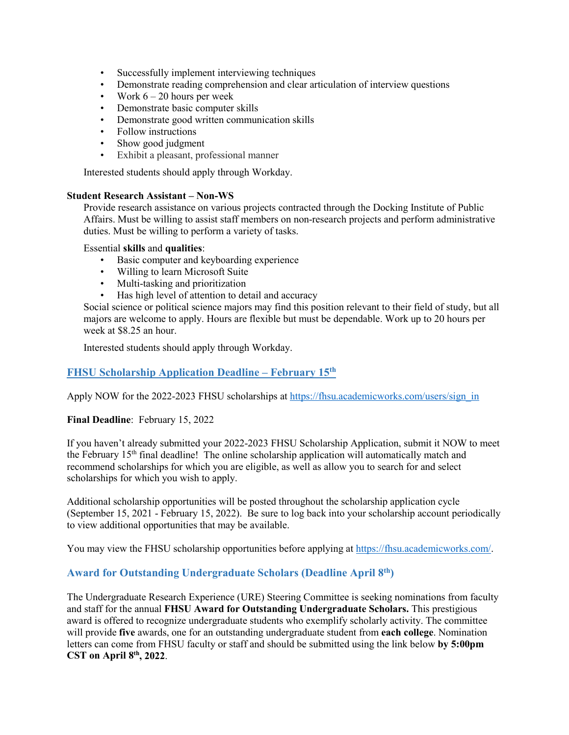- Successfully implement interviewing techniques
- Demonstrate reading comprehension and clear articulation of interview questions
- Work  $6 20$  hours per week
- Demonstrate basic computer skills
- Demonstrate good written communication skills
- Follow instructions
- Show good judgment
- Exhibit a pleasant, professional manner

Interested students should apply through Workday.

#### **Student Research Assistant – Non-WS**

Provide research assistance on various projects contracted through the Docking Institute of Public Affairs. Must be willing to assist staff members on non-research projects and perform administrative duties. Must be willing to perform a variety of tasks.

Essential **skills** and **qualities**:

- Basic computer and keyboarding experience
- Willing to learn Microsoft Suite
- Multi-tasking and prioritization
- Has high level of attention to detail and accuracy

Social science or political science majors may find this position relevant to their field of study, but all majors are welcome to apply. Hours are flexible but must be dependable. Work up to 20 hours per week at \$8.25 an hour.

Interested students should apply through Workday.

# <span id="page-19-0"></span>**FHSU Scholarship Application Deadline – February 15th**

Apply NOW for the 2022-2023 FHSU scholarships at [https://fhsu.academicworks.com/users/sign\\_in](https://fhsu.academicworks.com/users/sign_in)

### **Final Deadline**: February 15, 2022

If you haven't already submitted your 2022-2023 FHSU Scholarship Application, submit it NOW to meet the February 15th final deadline! The online scholarship application will automatically match and recommend scholarships for which you are eligible, as well as allow you to search for and select scholarships for which you wish to apply.

Additional scholarship opportunities will be posted throughout the scholarship application cycle (September 15, 2021 - February 15, 2022). Be sure to log back into your scholarship account periodically to view additional opportunities that may be available.

You may view the FHSU scholarship opportunities before applying at [https://fhsu.academicworks.com/.](https://fhsu.academicworks.com/)

### <span id="page-19-1"></span>**Award for Outstanding Undergraduate Scholars (Deadline April 8th)**

The Undergraduate Research Experience (URE) Steering Committee is seeking nominations from faculty and staff for the annual **FHSU Award for Outstanding Undergraduate Scholars.** This prestigious award is offered to recognize undergraduate students who exemplify scholarly activity. The committee will provide **five** awards, one for an outstanding undergraduate student from **each college**. Nomination letters can come from FHSU faculty or staff and should be submitted using the link below **by 5:00pm CST on April 8th, 2022**.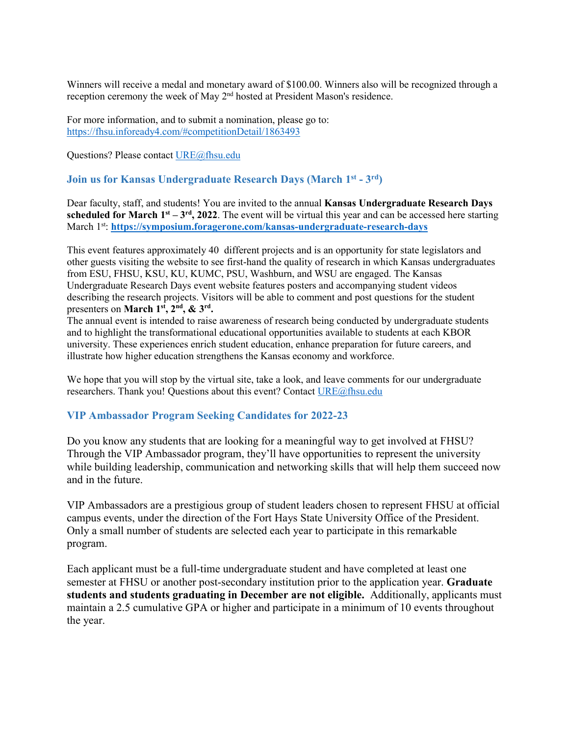Winners will receive a medal and monetary award of \$100.00. Winners also will be recognized through a reception ceremony the week of May 2nd hosted at President Mason's residence.

For more information, and to submit a nomination, please go to: <https://fhsu.infoready4.com/#competitionDetail/1863493>

Questions? Please contact [URE@fhsu.edu](mailto:URE@fhsu.edu)

### **Join us for Kansas Undergraduate Research Days (March 1st - 3rd)**

Dear faculty, staff, and students! You are invited to the annual **Kansas Undergraduate Research Days scheduled for March**  $1^{st} - 3^{rd}$ **, 2022.** The event will be virtual this year and can be accessed here starting March 1st: **<https://symposium.foragerone.com/kansas-undergraduate-research-days>**

This event features approximately 40 different projects and is an opportunity for state legislators and other guests visiting the website to see first-hand the quality of research in which Kansas undergraduates from ESU, FHSU, KSU, KU, KUMC, PSU, Washburn, and WSU are engaged. The Kansas Undergraduate Research Days event website features posters and accompanying student videos describing the research projects. Visitors will be able to comment and post questions for the student presenters on **March 1st, 2nd, & 3rd.**

The annual event is intended to raise awareness of research being conducted by undergraduate students and to highlight the transformational educational opportunities available to students at each KBOR university. These experiences enrich student education, enhance preparation for future careers, and illustrate how higher education strengthens the Kansas economy and workforce.

We hope that you will stop by the virtual site, take a look, and leave comments for our undergraduate researchers. Thank you! Questions about this event? Contac[t URE@fhsu.edu](mailto:URE@fhsu.edu)

### <span id="page-20-0"></span>**VIP Ambassador Program Seeking Candidates for 2022-23**

Do you know any students that are looking for a meaningful way to get involved at FHSU? Through the VIP Ambassador program, they'll have opportunities to represent the university while building leadership, communication and networking skills that will help them succeed now and in the future.

VIP Ambassadors are a prestigious group of student leaders chosen to represent FHSU at official campus events, under the direction of the Fort Hays State University Office of the President. Only a small number of students are selected each year to participate in this remarkable program.

Each applicant must be a full-time undergraduate student and have completed at least one semester at FHSU or another post-secondary institution prior to the application year. **Graduate students and students graduating in December are not eligible.** Additionally, applicants must maintain a 2.5 cumulative GPA or higher and participate in a minimum of 10 events throughout the year.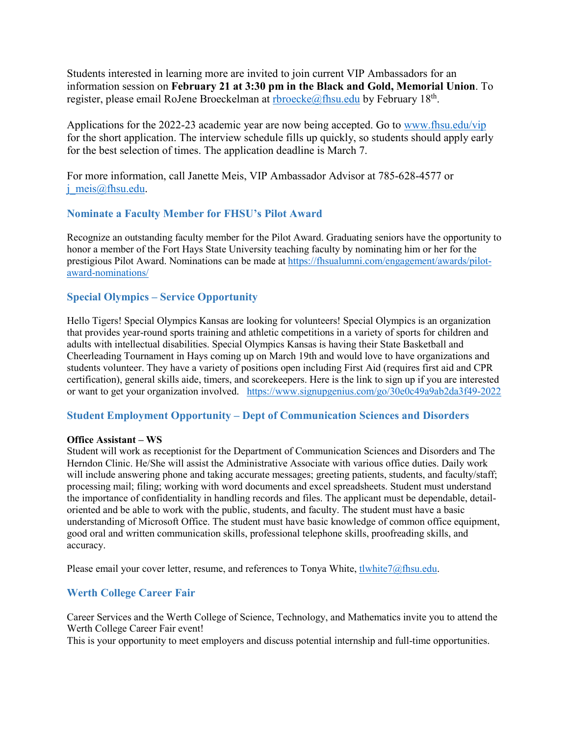Students interested in learning more are invited to join current VIP Ambassadors for an information session on **February 21 at 3:30 pm in the Black and Gold, Memorial Union**. To register, please email RoJene Broeckelman at [rbroecke@fhsu.edu](mailto:rbroecke@fhsu.edu) by February  $18<sup>th</sup>$ .

Applications for the 2022-23 academic year are now being accepted. Go to [www.fhsu.edu/vip](http://www.fhsu.edu/vip) for the short application. The interview schedule fills up quickly, so students should apply early for the best selection of times. The application deadline is March 7.

For more information, call Janette Meis, VIP Ambassador Advisor at 785-628-4577 or [j\\_meis@fhsu.edu.](mailto:j_meis@fhsu.edu)

# <span id="page-21-0"></span>**Nominate a Faculty Member for FHSU's Pilot Award**

Recognize an outstanding faculty member for the Pilot Award. Graduating seniors have the opportunity to honor a member of the Fort Hays State University teaching faculty by nominating him or her for the prestigious Pilot Award. Nominations can be made at [https://fhsualumni.com/engagement/awards/pilot](https://fhsualumni.com/engagement/awards/pilot-award-nominations/)[award-nominations/](https://fhsualumni.com/engagement/awards/pilot-award-nominations/)

# <span id="page-21-1"></span>**Special Olympics – Service Opportunity**

Hello Tigers! Special Olympics Kansas are looking for volunteers! Special Olympics is an organization that provides year-round sports training and athletic competitions in a variety of sports for children and adults with intellectual disabilities. Special Olympics Kansas is having their State Basketball and Cheerleading Tournament in Hays coming up on March 19th and would love to have organizations and students volunteer. They have a variety of positions open including First Aid (requires first aid and CPR certification), general skills aide, timers, and scorekeepers. Here is the link to sign up if you are interested or want to get your organization involved. <https://www.signupgenius.com/go/30e0c49a9ab2da3f49-2022>

# <span id="page-21-2"></span>**Student Employment Opportunity – Dept of Communication Sciences and Disorders**

### **Office Assistant – WS**

Student will work as receptionist for the Department of Communication Sciences and Disorders and The Herndon Clinic. He/She will assist the Administrative Associate with various office duties. Daily work will include answering phone and taking accurate messages; greeting patients, students, and faculty/staff; processing mail; filing; working with word documents and excel spreadsheets. Student must understand the importance of confidentiality in handling records and files. The applicant must be dependable, detailoriented and be able to work with the public, students, and faculty. The student must have a basic understanding of Microsoft Office. The student must have basic knowledge of common office equipment, good oral and written communication skills, professional telephone skills, proofreading skills, and accuracy.

Please email your cover letter, resume, and references to Tonya White[, tlwhite7@fhsu.edu.](mailto:tlwhite7@fhsu.edu)

# <span id="page-21-3"></span>**Werth College Career Fair**

Career Services and the Werth College of Science, Technology, and Mathematics invite you to attend the Werth College Career Fair event!

This is your opportunity to meet employers and discuss potential internship and full-time opportunities.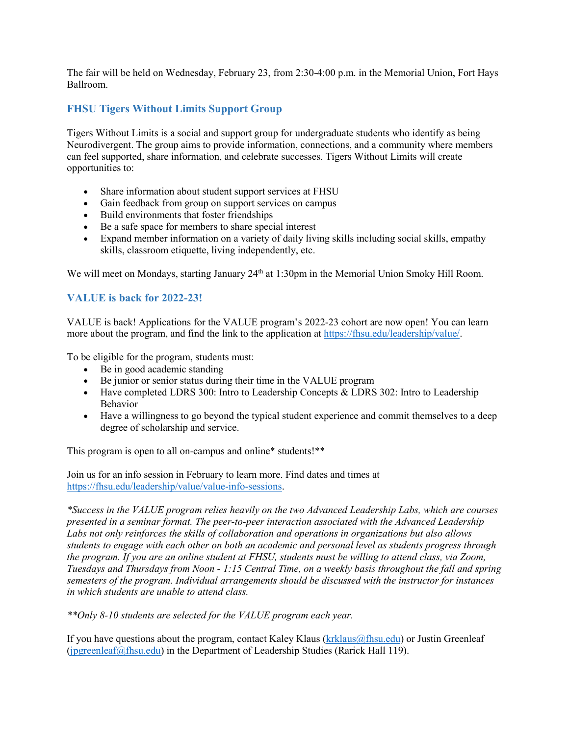The fair will be held on Wednesday, February 23, from 2:30-4:00 p.m. in the Memorial Union, Fort Hays Ballroom.

# <span id="page-22-0"></span>**FHSU Tigers Without Limits Support Group**

Tigers Without Limits is a social and support group for undergraduate students who identify as being Neurodivergent. The group aims to provide information, connections, and a community where members can feel supported, share information, and celebrate successes. Tigers Without Limits will create opportunities to:

- Share information about student support services at FHSU
- Gain feedback from group on support services on campus
- Build environments that foster friendships
- Be a safe space for members to share special interest
- Expand member information on a variety of daily living skills including social skills, empathy skills, classroom etiquette, living independently, etc.

We will meet on Mondays, starting January 24<sup>th</sup> at 1:30pm in the Memorial Union Smoky Hill Room.

# <span id="page-22-1"></span>**VALUE is back for 2022-23!**

VALUE is back! Applications for the VALUE program's 2022-23 cohort are now open! You can learn more about the program, and find the link to the application at [https://fhsu.edu/leadership/value/.](https://fhsu.edu/leadership/value/)

To be eligible for the program, students must:

- Be in good academic standing
- Be junior or senior status during their time in the VALUE program
- Have completed LDRS 300: Intro to Leadership Concepts & LDRS 302: Intro to Leadership Behavior
- Have a willingness to go beyond the typical student experience and commit themselves to a deep degree of scholarship and service.

This program is open to all on-campus and online\* students!\*\*

Join us for an info session in February to learn more. Find dates and times at [https://fhsu.edu/leadership/value/value-info-sessions.](https://fhsu.edu/leadership/value/value-info-sessions)

*\*Success in the VALUE program relies heavily on the two Advanced Leadership Labs, which are courses presented in a seminar format. The peer-to-peer interaction associated with the Advanced Leadership Labs not only reinforces the skills of collaboration and operations in organizations but also allows students to engage with each other on both an academic and personal level as students progress through the program. If you are an online student at FHSU, students must be willing to attend class, via Zoom, Tuesdays and Thursdays from Noon - 1:15 Central Time, on a weekly basis throughout the fall and spring semesters of the program. Individual arrangements should be discussed with the instructor for instances in which students are unable to attend class.*

*\*\*Only 8-10 students are selected for the VALUE program each year.*

If you have questions about the program, contact Kaley Klaus [\(krklaus@fhsu.edu\)](mailto:krklaus@fhsu.edu) or Justin Greenleaf [\(jpgreenleaf@fhsu.edu\)](mailto:jpgreenleaf@fhsu.edu) in the Department of Leadership Studies (Rarick Hall 119).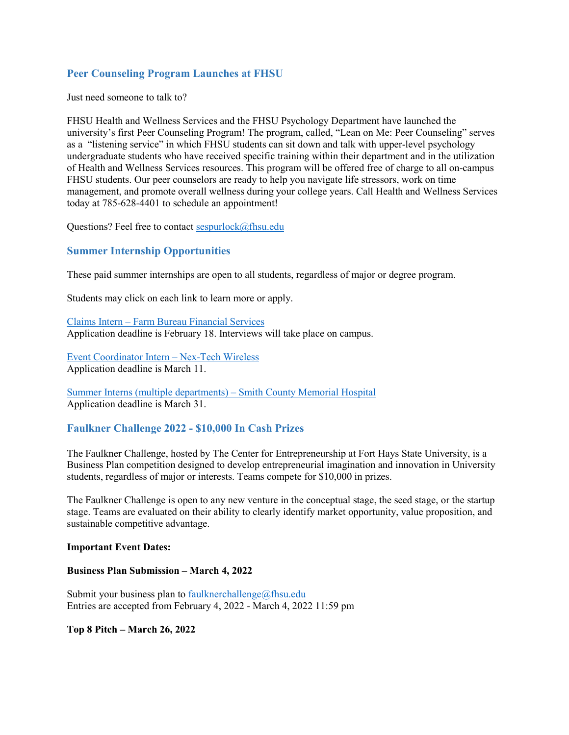# <span id="page-23-0"></span>**Peer Counseling Program Launches at FHSU**

Just need someone to talk to?

FHSU Health and Wellness Services and the FHSU Psychology Department have launched the university's first Peer Counseling Program! The program, called, "Lean on Me: Peer Counseling" serves as a "listening service" in which FHSU students can sit down and talk with upper-level psychology undergraduate students who have received specific training within their department and in the utilization of Health and Wellness Services resources. This program will be offered free of charge to all on-campus FHSU students. Our peer counselors are ready to help you navigate life stressors, work on time management, and promote overall wellness during your college years. Call Health and Wellness Services today at 785-628-4401 to schedule an appointment!

Questions? Feel free to contact [sespurlock@fhsu.edu](mailto:sespurlock@fhsu.edu)

### <span id="page-23-1"></span>**Summer Internship Opportunities**

These paid summer internships are open to all students, regardless of major or degree program.

Students may click on each link to learn more or apply.

Claims Intern – [Farm Bureau Financial Services](https://fhsu.joinhandshake.com/jobs/5885816/share_preview) Application deadline is February 18. Interviews will take place on campus.

[Event Coordinator Intern –](https://fhsu.joinhandshake.com/jobs/5868537/share_preview) Nex-Tech Wireless Application deadline is March 11.

[Summer Interns \(multiple departments\) –](https://fhsu.joinhandshake.com/jobs/5892264/share_preview) Smith County Memorial Hospital Application deadline is March 31.

### <span id="page-23-2"></span>**Faulkner Challenge 2022 - \$10,000 In Cash Prizes**

The Faulkner Challenge, hosted by The Center for Entrepreneurship at Fort Hays State University, is a Business Plan competition designed to develop entrepreneurial imagination and innovation in University students, regardless of major or interests. Teams compete for \$10,000 in prizes.

The Faulkner Challenge is open to any new venture in the conceptual stage, the seed stage, or the startup stage. Teams are evaluated on their ability to clearly identify market opportunity, value proposition, and sustainable competitive advantage.

#### **Important Event Dates:**

**Business Plan Submission – March 4, 2022**

Submit your business plan to [faulknerchallenge@fhsu.edu](mailto:faulknerchallenge@fhsu.edu) Entries are accepted from February 4, 2022 - March 4, 2022 11:59 pm

**Top 8 Pitch – March 26, 2022**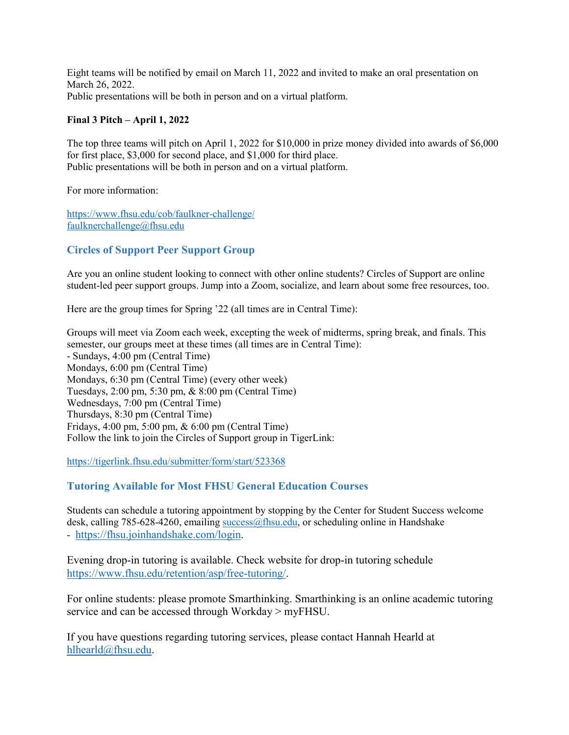Eight teams will be notified by email on March 11, 2022 and invited to make an oral presentation on March 26, 2022. Public presentations will be both in person and on a virtual platform.

### **Final 3 Pitch – April 1, 2022**

The top three teams will pitch on April 1, 2022 for \$10,000 in prize money divided into awards of \$6,000 for first place, \$3,000 for second place, and \$1,000 for third place. Public presentations will be both in person and on a virtual platform.

For more information:

<https://www.fhsu.edu/cob/faulkner-challenge/> [faulknerchallenge@fhsu.edu](mailto:faulknerchallenge@fhsu.edu)

# <span id="page-24-0"></span>**Circles of Support Peer Support Group**

Are you an online student looking to connect with other online students? Circles of Support are online student-led peer support groups. Jump into a Zoom, socialize, and learn about some free resources, too.

Here are the group times for Spring '22 (all times are in Central Time):

Groups will meet via Zoom each week, excepting the week of midterms, spring break, and finals. This semester, our groups meet at these times (all times are in Central Time): - Sundays, 4:00 pm (Central Time) Mondays, 6:00 pm (Central Time) Mondays, 6:30 pm (Central Time) (every other week) Tuesdays, 2:00 pm, 5:30 pm, & 8:00 pm (Central Time) Wednesdays, 7:00 pm (Central Time) Thursdays, 8:30 pm (Central Time) Fridays, 4:00 pm, 5:00 pm, & 6:00 pm (Central Time) Follow the link to join the Circles of Support group in TigerLink:

<https://tigerlink.fhsu.edu/submitter/form/start/523368>

### <span id="page-24-1"></span>**Tutoring Available for Most FHSU General Education Courses**

Students can schedule a tutoring appointment by stopping by the Center for Student Success welcome desk, calling 785-628-4260, emailing success $@$ fhsu.edu, or scheduling online in Handshake - [https://fhsu.joinhandshake.com/login.](https://fhsu.joinhandshake.com/login)

Evening drop-in tutoring is available. Check website for drop-in tutoring schedule [https://www.fhsu.edu/retention/asp/free-tutoring/.](https://www.fhsu.edu/retention/asp/free-tutoring/)

For online students: please promote Smarthinking. Smarthinking is an online academic tutoring service and can be accessed through Workday > myFHSU.

If you have questions regarding tutoring services, please contact Hannah Hearld at [hlhearld@fhsu.edu.](mailto:hlhearld@fhsu.edu)